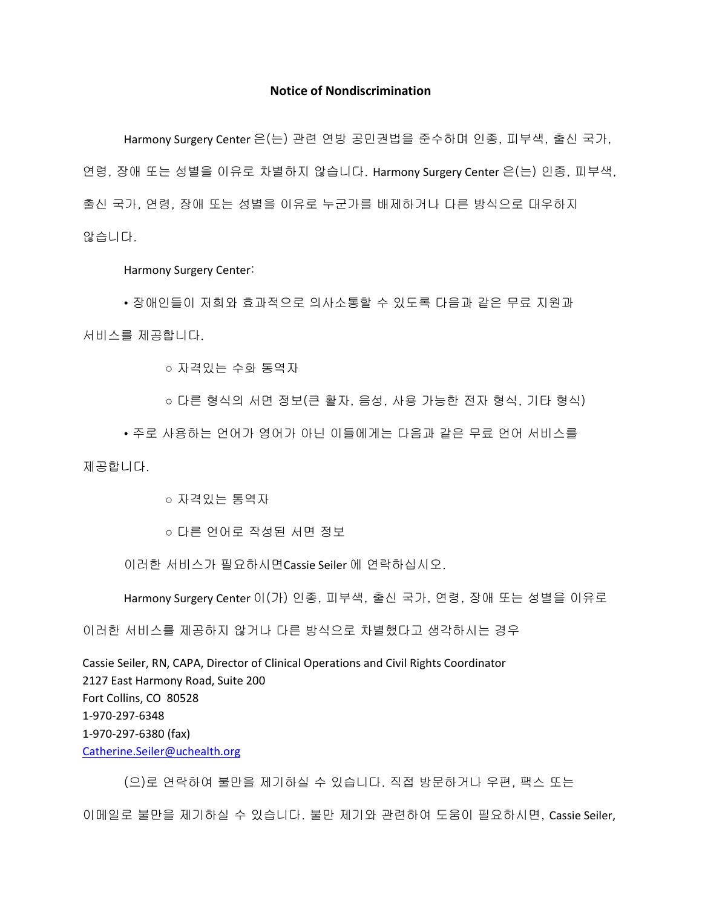## **Notice of Nondiscrimination**

Harmony Surgery Center 은(는) 관련 연방 공민권법을 준수하며 인종, 피부색, 출신 국가, 연령, 장애 또는 성별을 이유로 차별하지 않습니다. Harmony Surgery Center 은(는) 인종, 피부색, 출신 국가, 연령, 장애 또는 성별을 이유로 누군가를 배제하거나 다른 방식으로 대우하지 않습니다.

Harmony Surgery Center:

• 장애인들이 저희와 효과적으로 의사소통할 수 있도록 다음과 같은 무료 지원과 서비스를 제공합니다.

○ 자격있는 수화 통역자

○ 다른 형식의 서면 정보(큰 활자, 음성, 사용 가능한 전자 형식, 기타 형식)

• 주로 사용하는 언어가 영어가 아닌 이들에게는 다음과 같은 무료 언어 서비스를 제공합니다.

○ 자격있는 통역자

○ 다른 언어로 작성된 서면 정보

이러한 서비스가 필요하시면Cassie Seiler 에 연락하십시오.

Harmony Surgery Center 이(가) 인종, 피부색, 출신 국가, 연령, 장애 또는 성별을 이유로

이러한 서비스를 제공하지 않거나 다른 방식으로 차별했다고 생각하시는 경우

Cassie Seiler, RN, CAPA, Director of Clinical Operations and Civil Rights Coordinator 2127 East Harmony Road, Suite 200 Fort Collins, CO 80528 1-970-297-6348 1-970-297-6380 (fax) [Catherine.Seiler@uchealth.org](mailto:Catherine.Seiler@uchealth.org)

(으)로 연락하여 불만을 제기하실 수 있습니다. 직접 방문하거나 우편, 팩스 또는

이메일로 불만을 제기하실 수 있습니다. 불만 제기와 관련하여 도움이 필요하시면, Cassie Seiler,